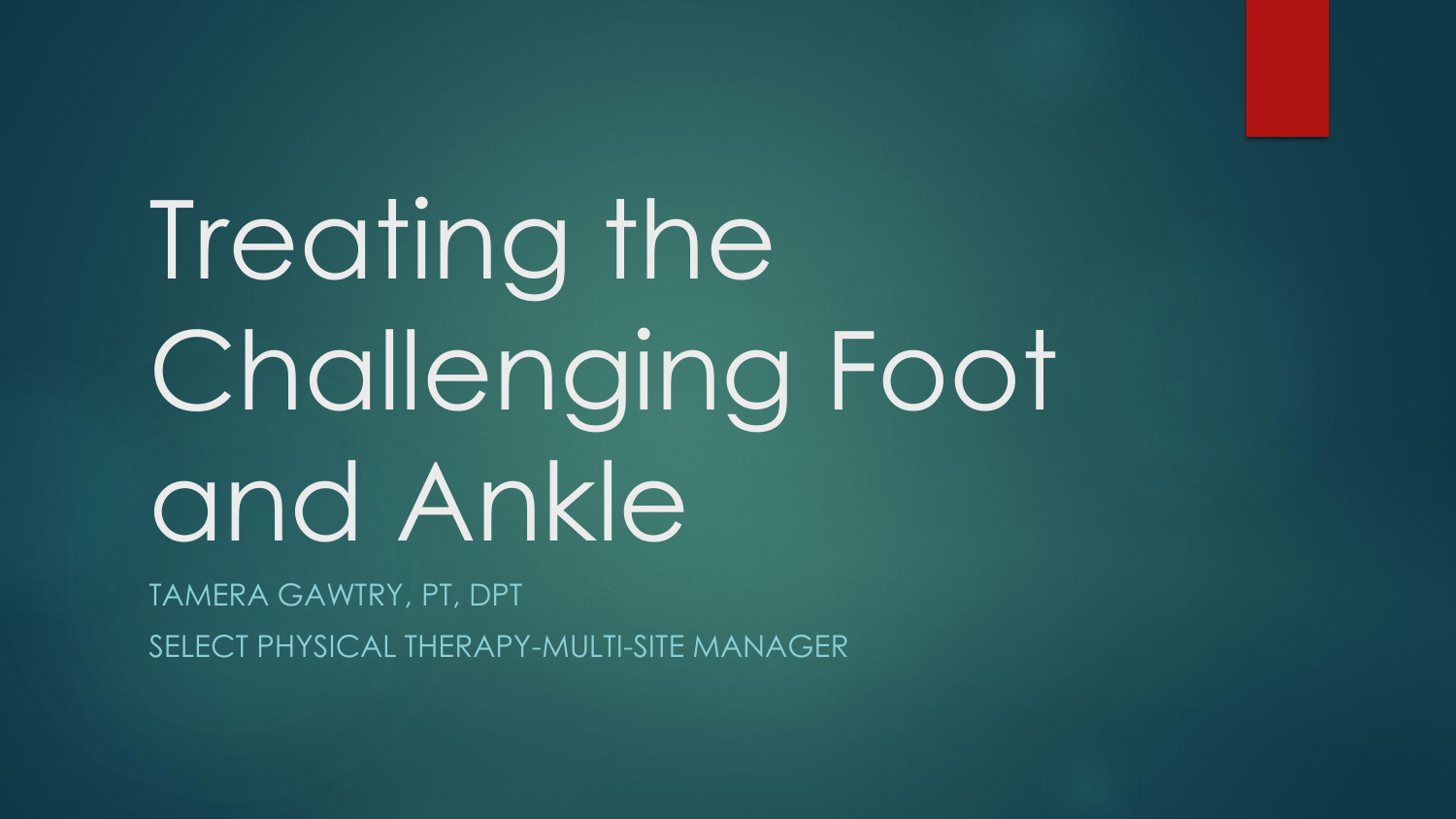# Treating the Challenging Foot and Ankle

TAMERA GAWTRY, PT, DPT SELECT PHYSICAL THERAPY-MULTI-SITE MANAGER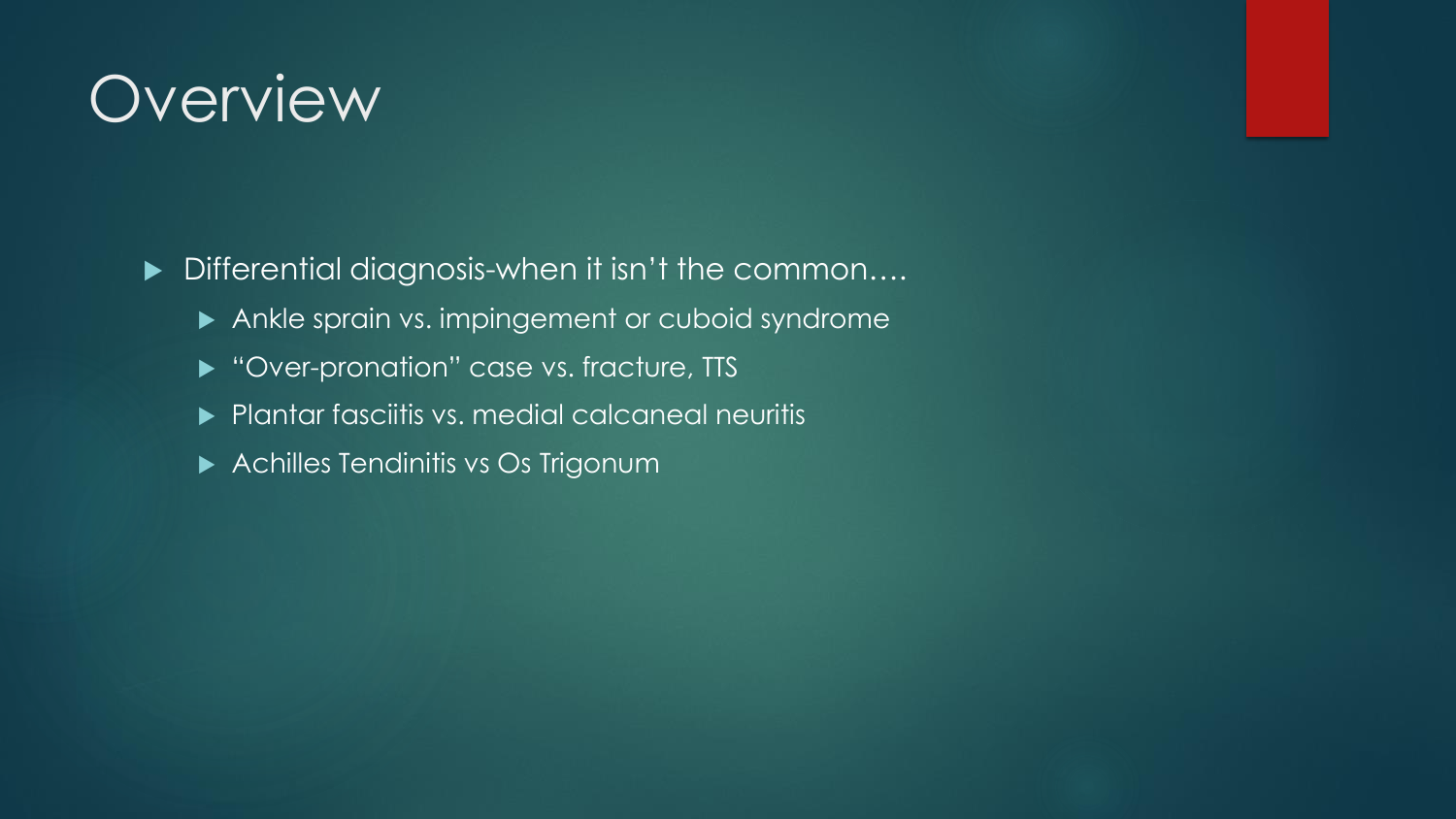### **Overview**

▶ Differential diagnosis-when it isn't the common....

- Ankle sprain vs. impingement or cuboid syndrome
- ▶ "Over-pronation" case vs. fracture, TTS
- **Plantar fasciitis vs. medial calcaneal neuritis**
- **Achilles Tendinitis vs Os Trigonum**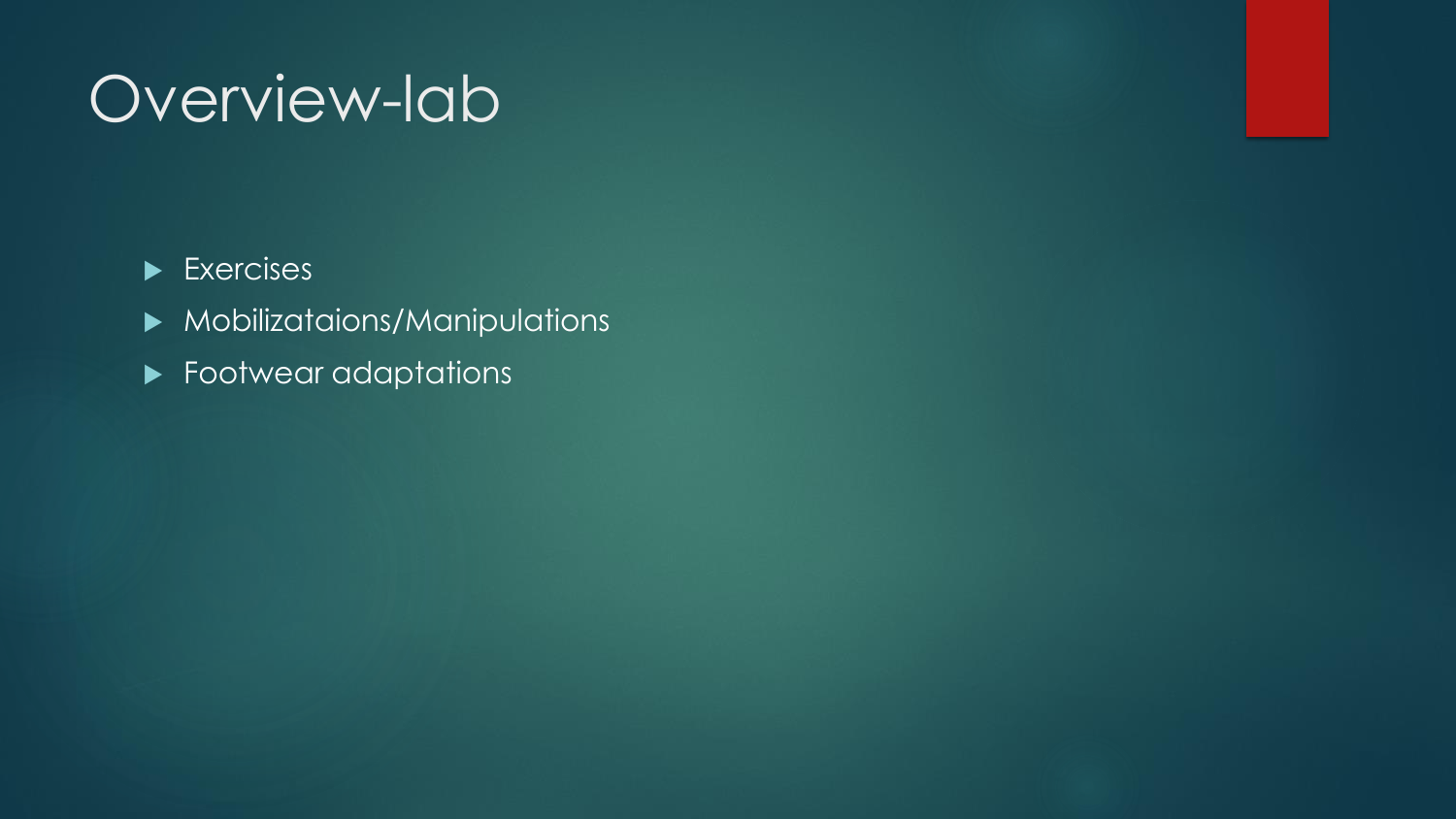# Overview-lab

#### $\blacktriangleright$  Exercises

- Mobilizataions/Manipulations
- **Footwear adaptations**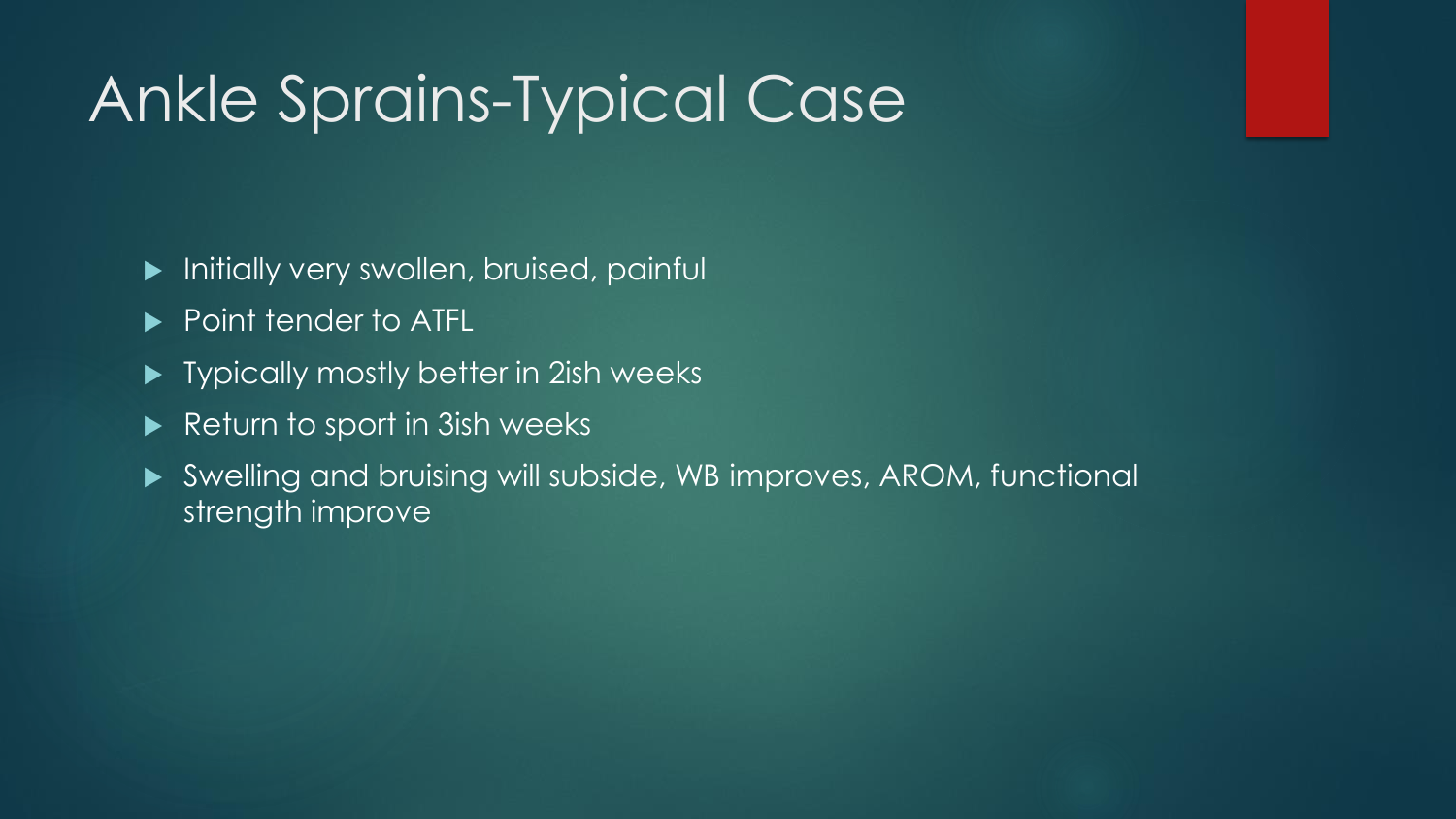## Ankle Sprains-Typical Case

- **Initially very swollen, bruised, painfully**
- ▶ Point tender to ATFL
- ▶ Typically mostly better in 2ish weeks
- Return to sport in 3ish weeks
- Swelling and bruising will subside, WB improves, AROM, functional strength improve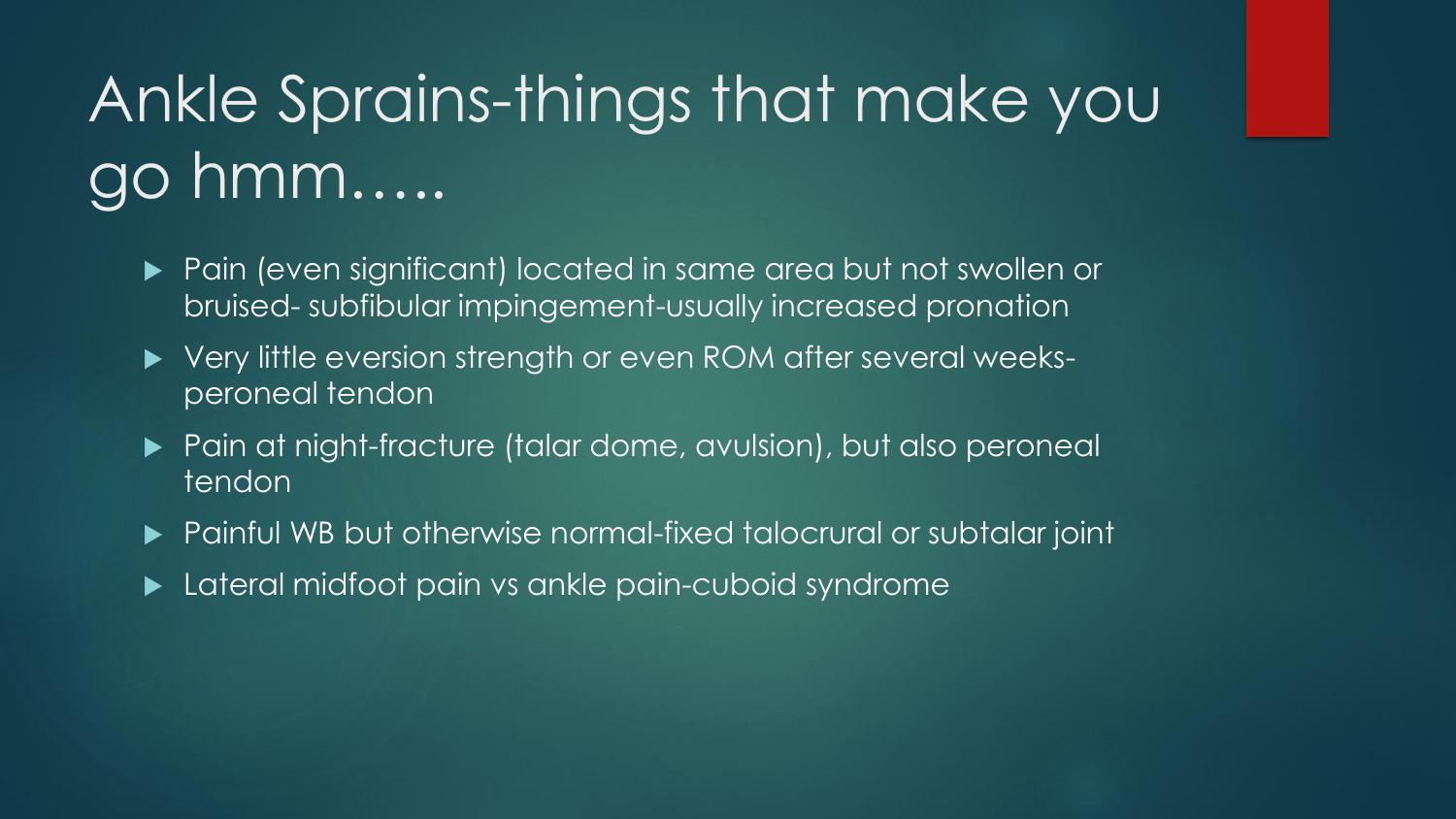# Ankle Sprains-things that make you go hmm…..

- Pain (even significant) located in same area but not swollen or bruised- subfibular impingement-usually increased pronation
- ▶ Very little eversion strength or even ROM after several weeksperoneal tendon
- ▶ Pain at night-fracture (talar dome, avulsion), but also peroneal tendon
- Painful WB but otherwise normal-fixed talocrural or subtalar joint
- **Lateral midfoot pain vs ankle pain-cuboid syndrome**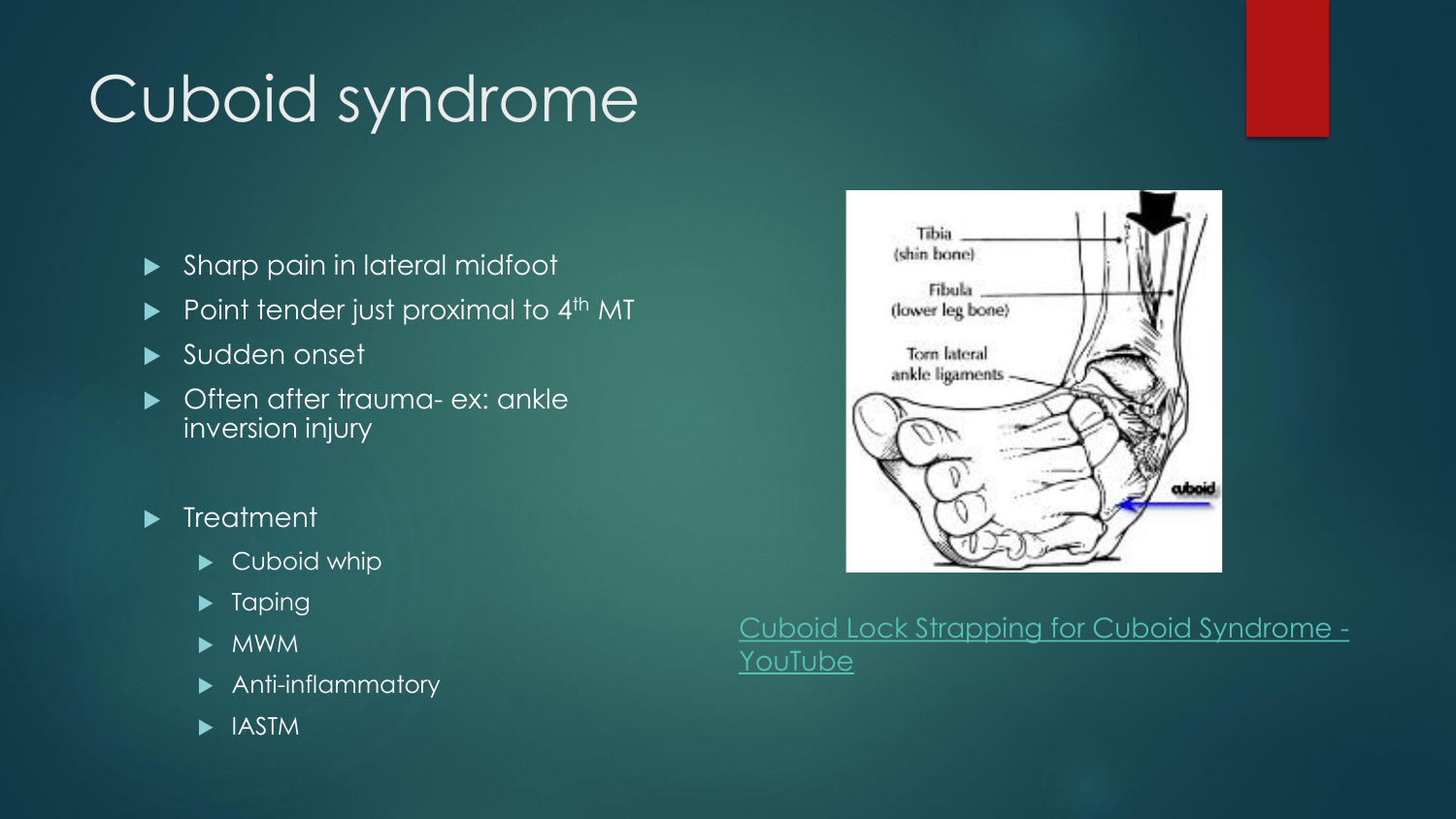# Cuboid syndrome

- Sharp pain in lateral midfoot
- $\blacktriangleright$  Point tender just proximal to 4<sup>th</sup> MT
- ▶ Sudden onset
- ▶ Often after trauma- ex: ankle inversion injury

#### $\blacktriangleright$  Treatment

- Cuboid whip
- $\blacktriangleright$  Taping
- $\blacktriangleright$  MWM
- **Anti-inflammatory**
- **IASTM**



#### [Cuboid Lock Strapping for Cuboid Syndrome -](https://www.youtube.com/watch?v=gPQborVxXPk) **YouTube**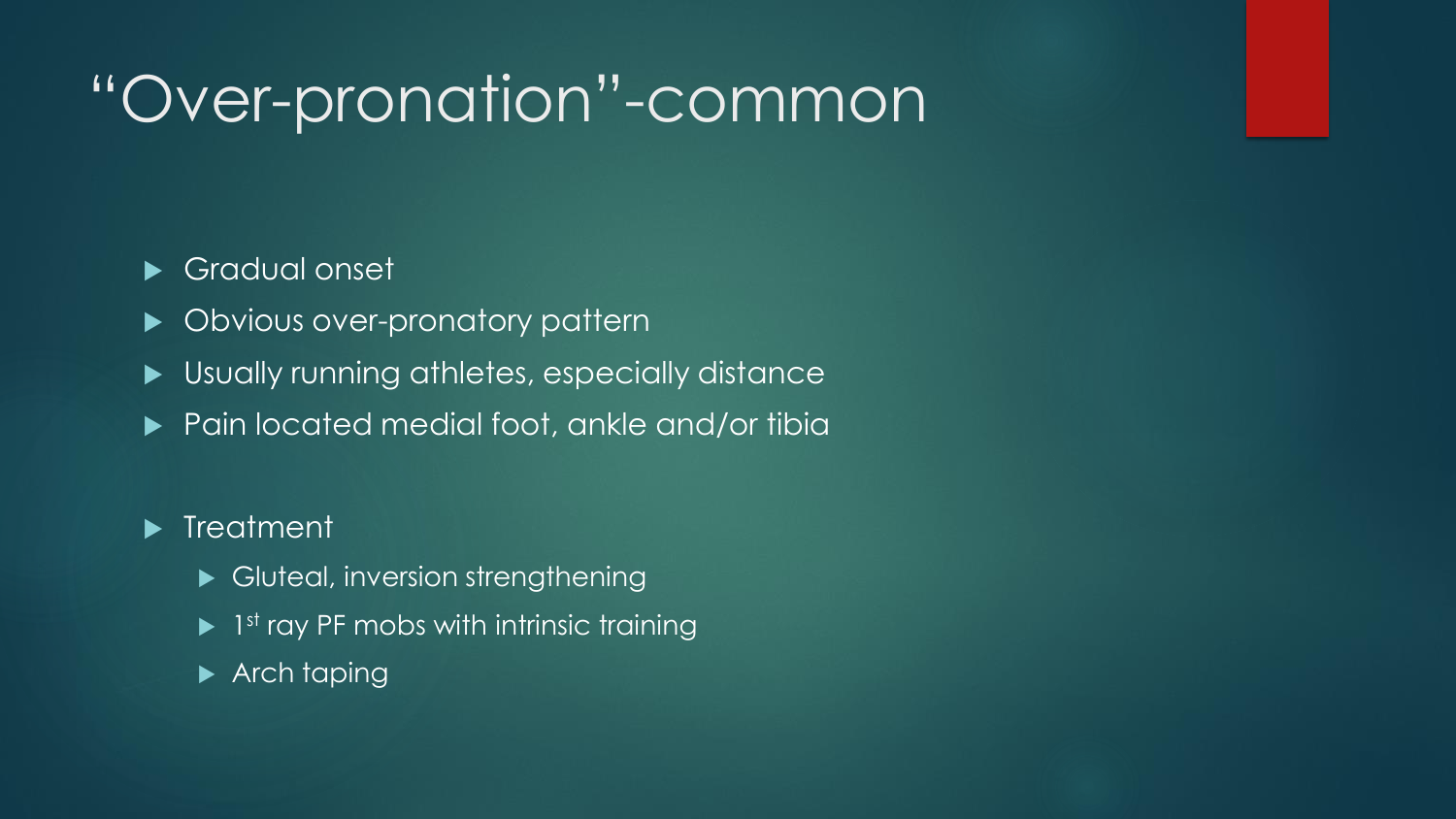# "Over-pronation"-common

#### Gradual onset

- **Divious over-pronatory pattern**
- Usually running athletes, especially distance
- ▶ Pain located medial foot, ankle and/or tibia

#### **Filter** Treatment

- Gluteal, inversion strengthening
- ▶ 1<sup>st</sup> ray PF mobs with intrinsic training
- Arch taping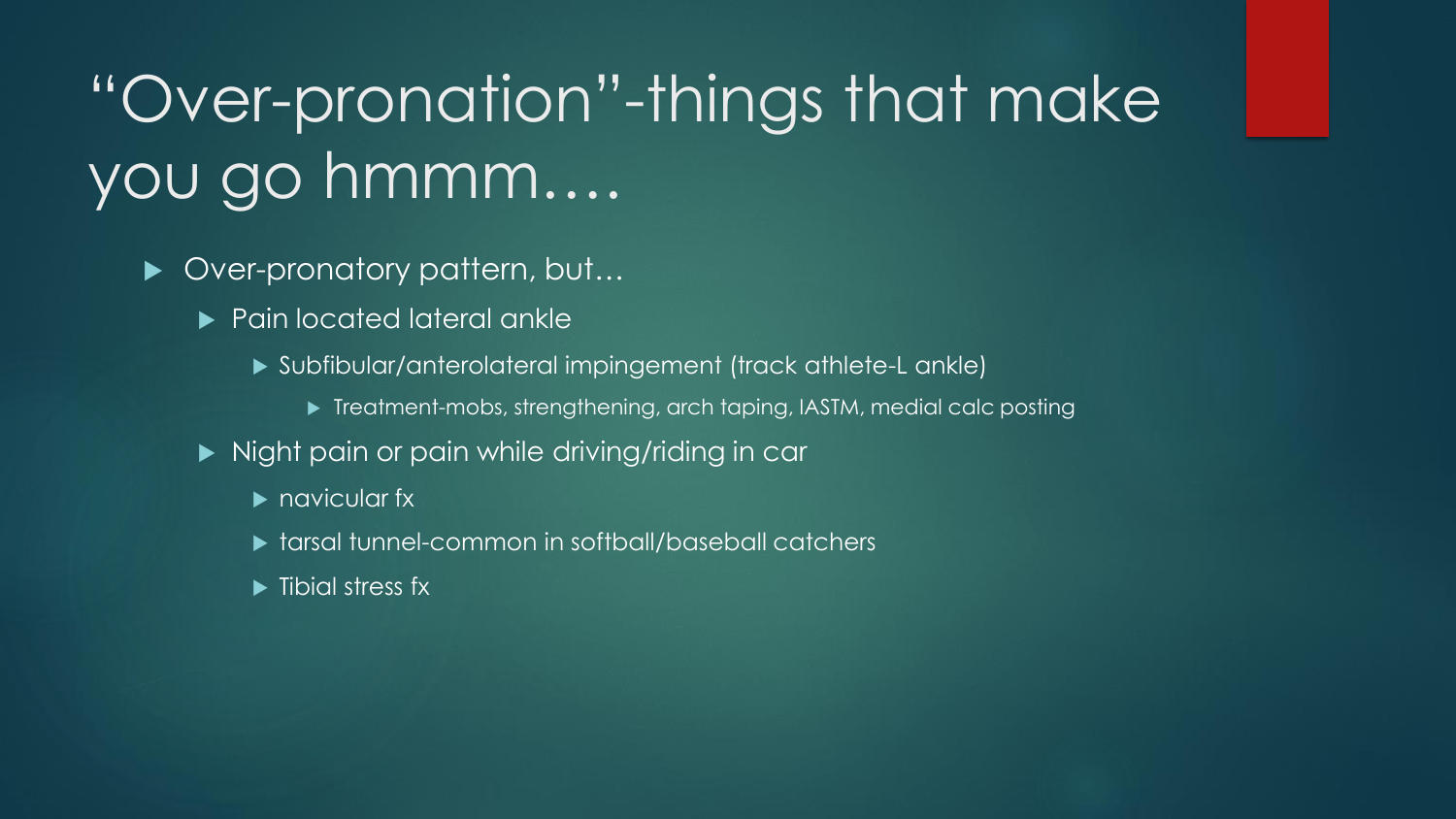# "Over-pronation"-things that make you go hmmm….

- ▶ Over-pronatory pattern, but...
	- **Pain located lateral ankle** 
		- Subfibular/anterolateral impingement (track athlete-L ankle)
			- ▶ Treatment-mobs, strengthening, arch taping, IASTM, medial calc posting
	- Night pain or pain while driving/riding in car
		- **P** navicular fx
		- **tarsal tunnel-common in softball/baseball catchers**
		- $\blacktriangleright$  Tibial stress fx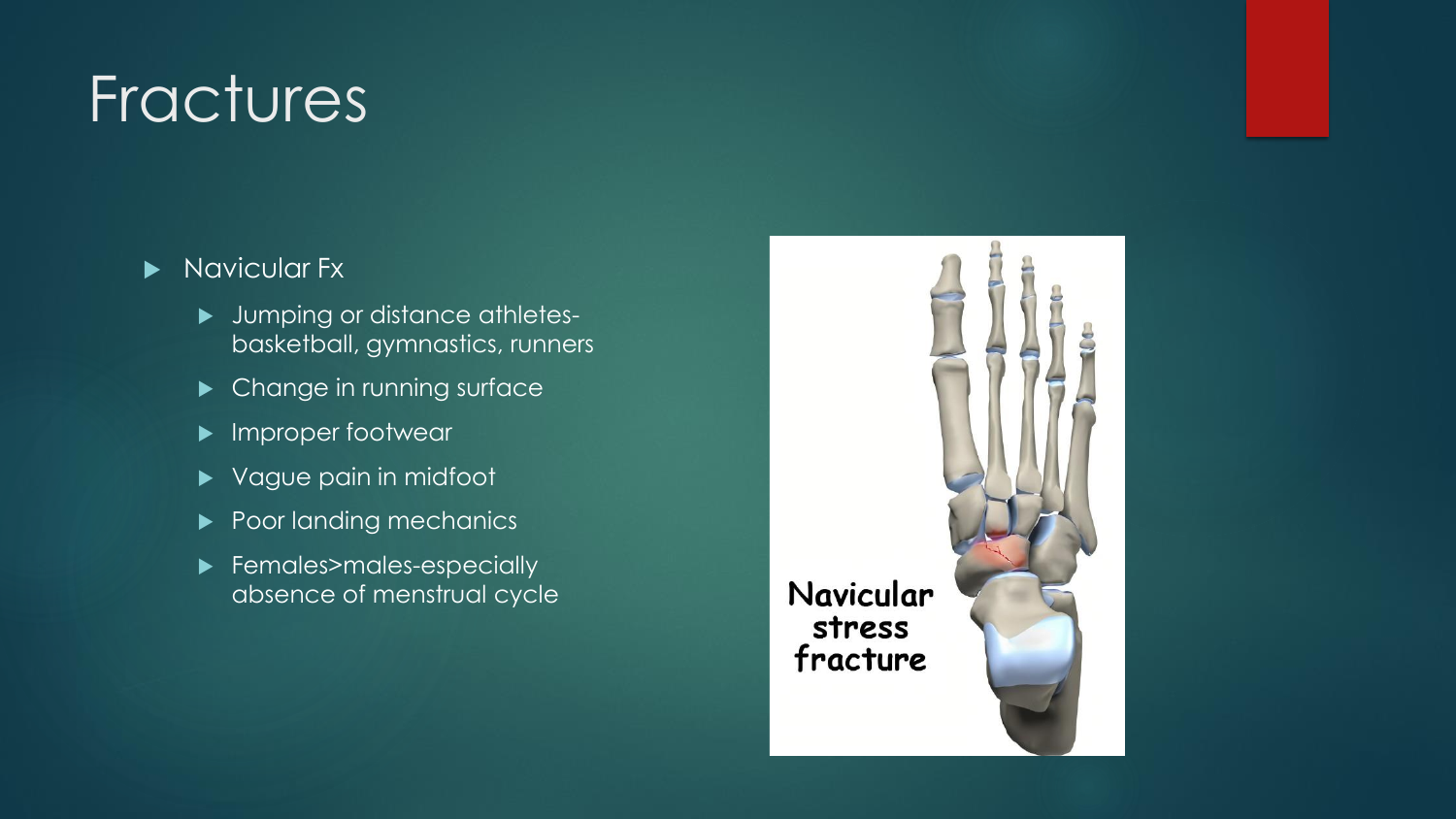### **Fractures**

- Navicular Fx
	- **Jumping or distance athletes**basketball, gymnastics, runners
	- **DED Change in running surface**
	- **Improper footwear**
	- ▶ Vague pain in midfoot
	- Poor landing mechanics
	- Females>males-especially absence of menstrual cycle

Navicular stress fracture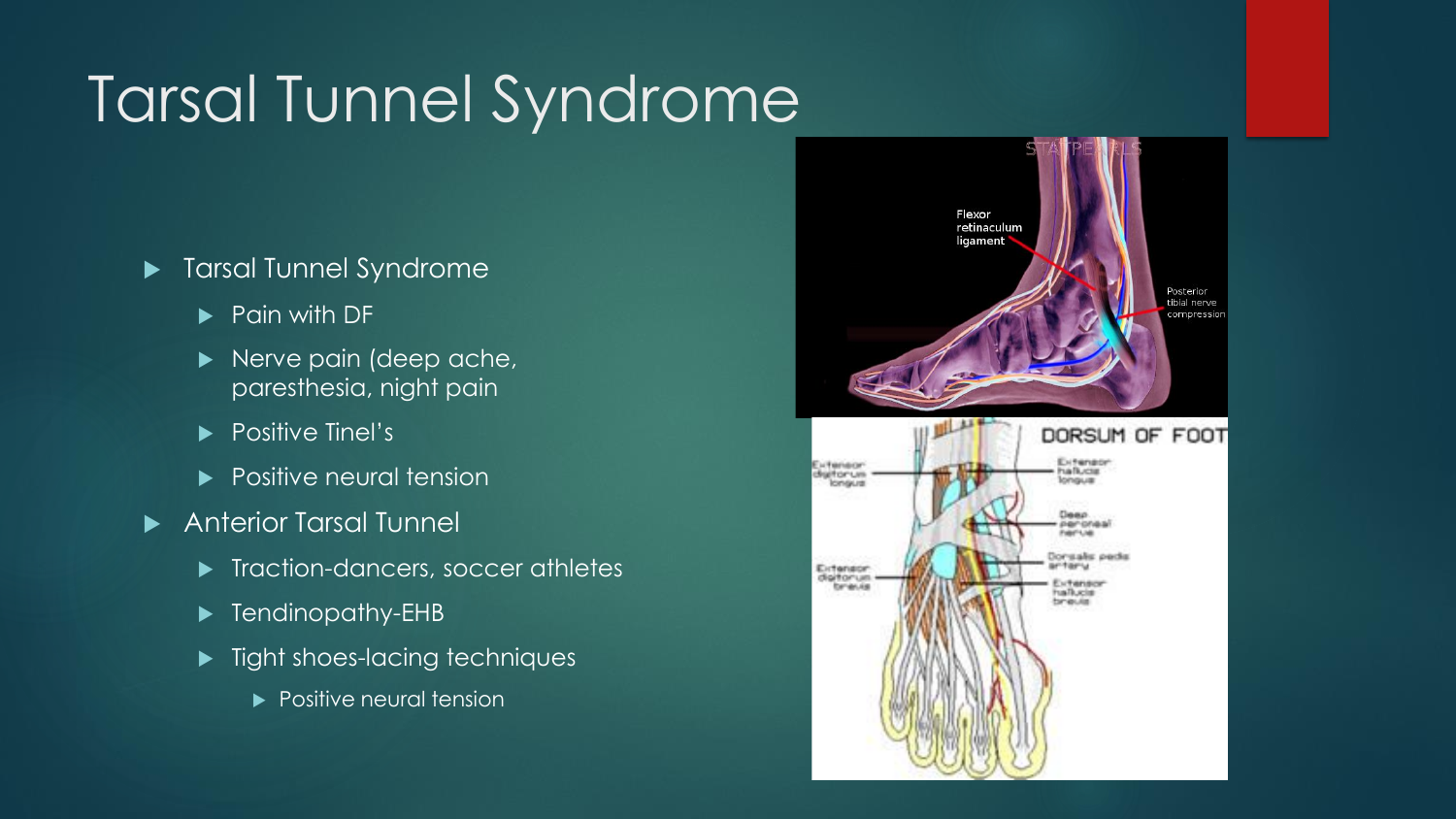# Tarsal Tunnel Syndrome

- **Tarsal Tunnel Syndrome** 
	- $\blacktriangleright$  Pain with DF
	- Nerve pain (deep ache, paresthesia, night pain
	- Positive Tinel's
	- **Positive neural tension**
- Anterior Tarsal Tunnel
	- **Traction-dancers, soccer athletes**
	- **Fandinopathy-EHB**
	- $\blacktriangleright$  Tight shoes-lacing techniques
		- **Positive neural tension**



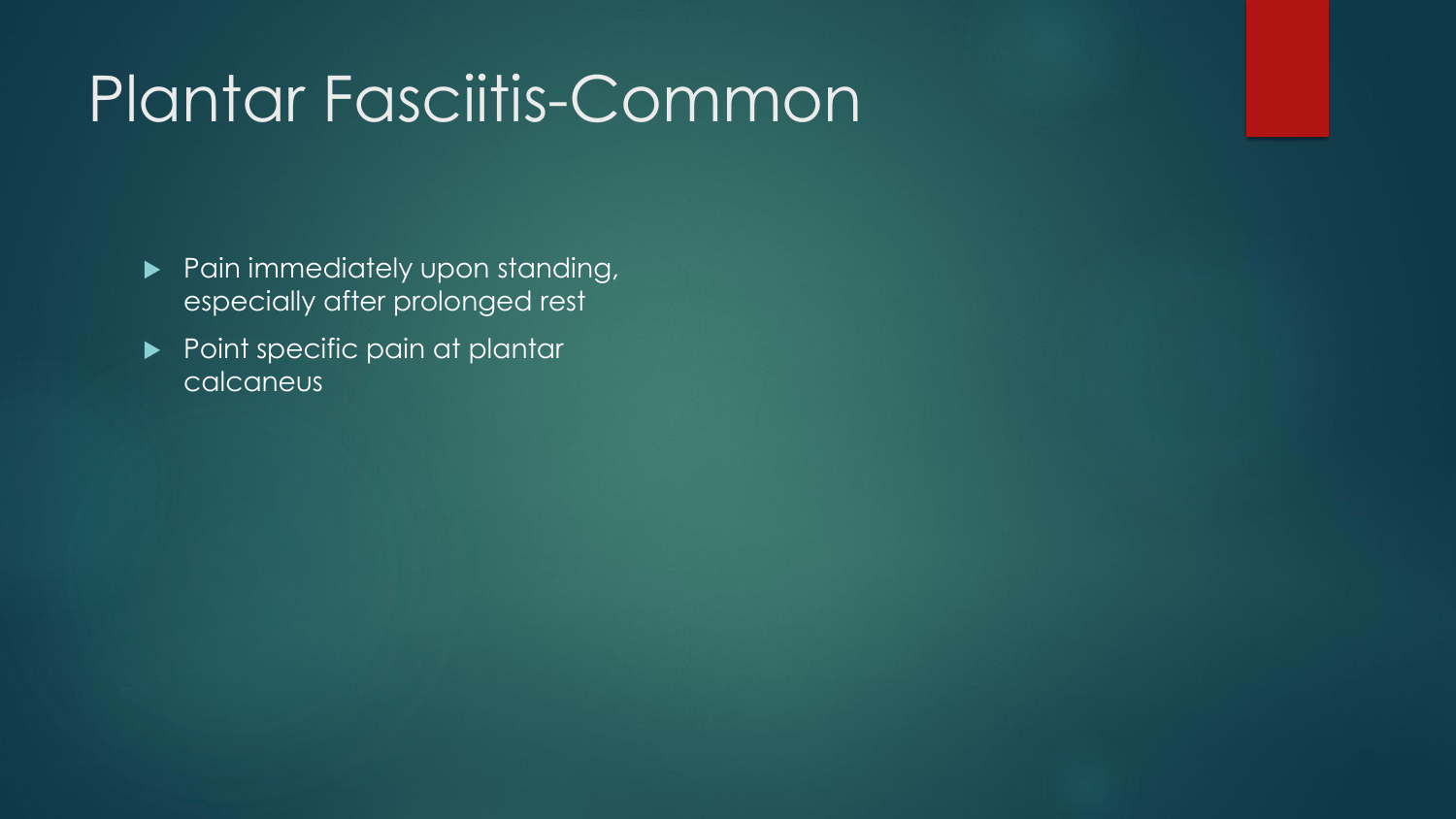### Plantar Fasciitis-Common

- **Pain immediately upon standing,** especially after prolonged rest
- Point specific pain at plantar calcaneus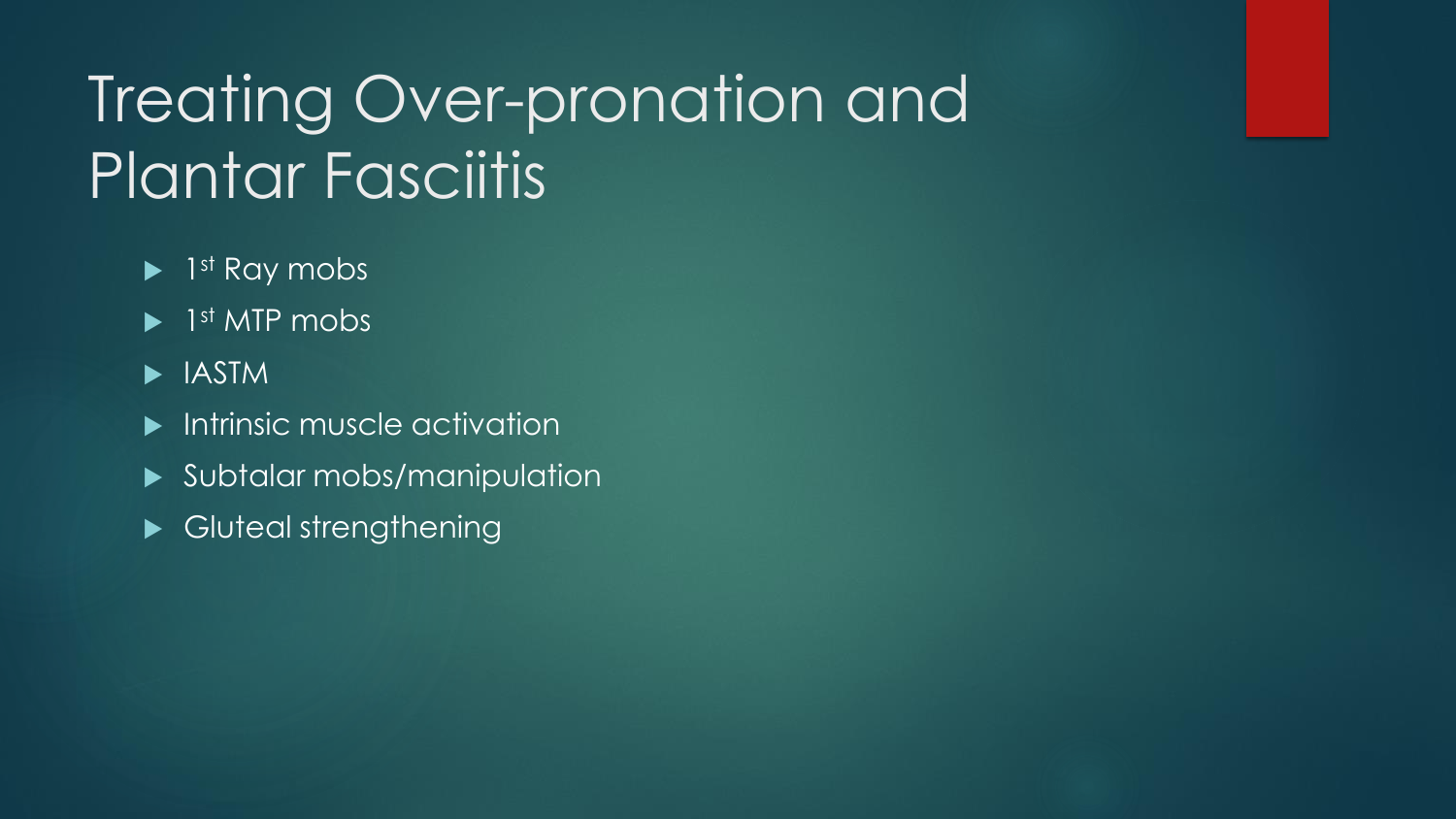# Treating Over-pronation and Plantar Fasciitis

- ▶ 1<sup>st</sup> Ray mobs
- ▶ 1<sup>st</sup> MTP mobs
- **IASTM**
- **Intrinsic muscle activation**
- Subtalar mobs/manipulation
- Gluteal strengthening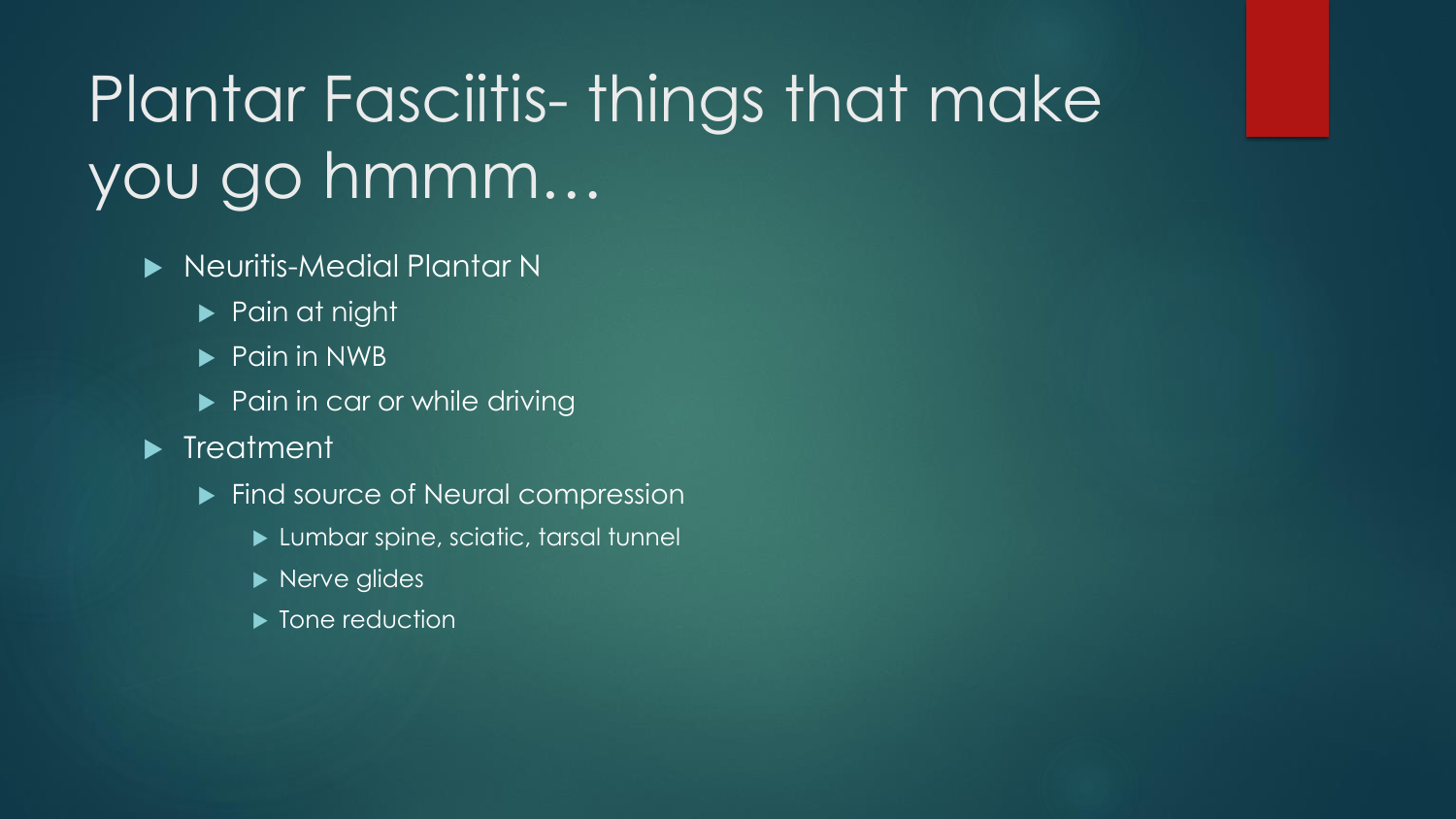# Plantar Fasciitis- things that make you go hmmm…

- **Neuritis-Medial Plantar No.** 
	- **Pain at night**
	- ▶ Pain in NWB
	- Pain in car or while driving
- **Filter** Treatment
	- Find source of Neural compression
		- **Lumbar spine, sciatic, tarsal tunnel**
		- Nerve glides
		- ▶ Tone reduction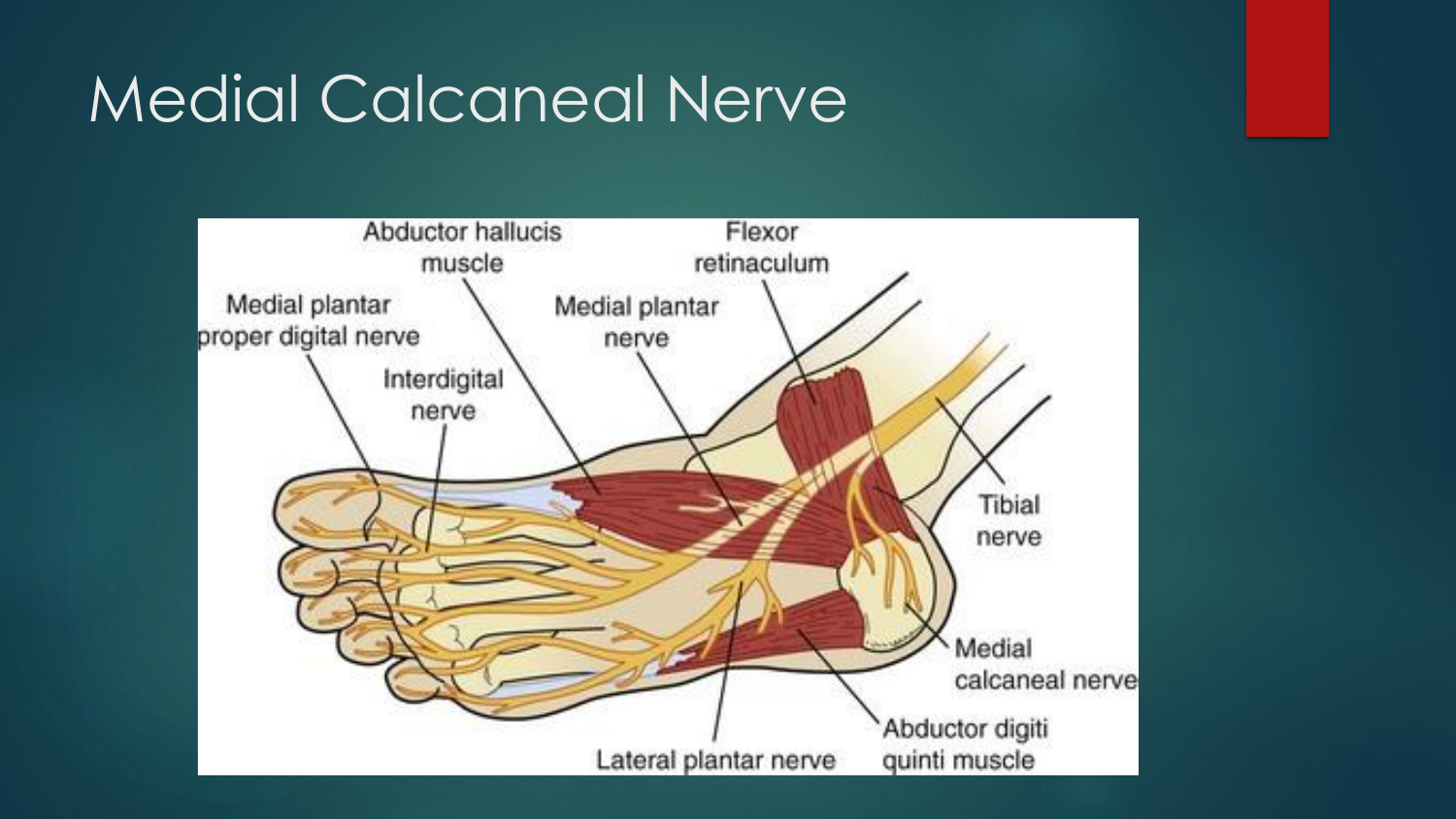# Medial Calcaneal Nerve

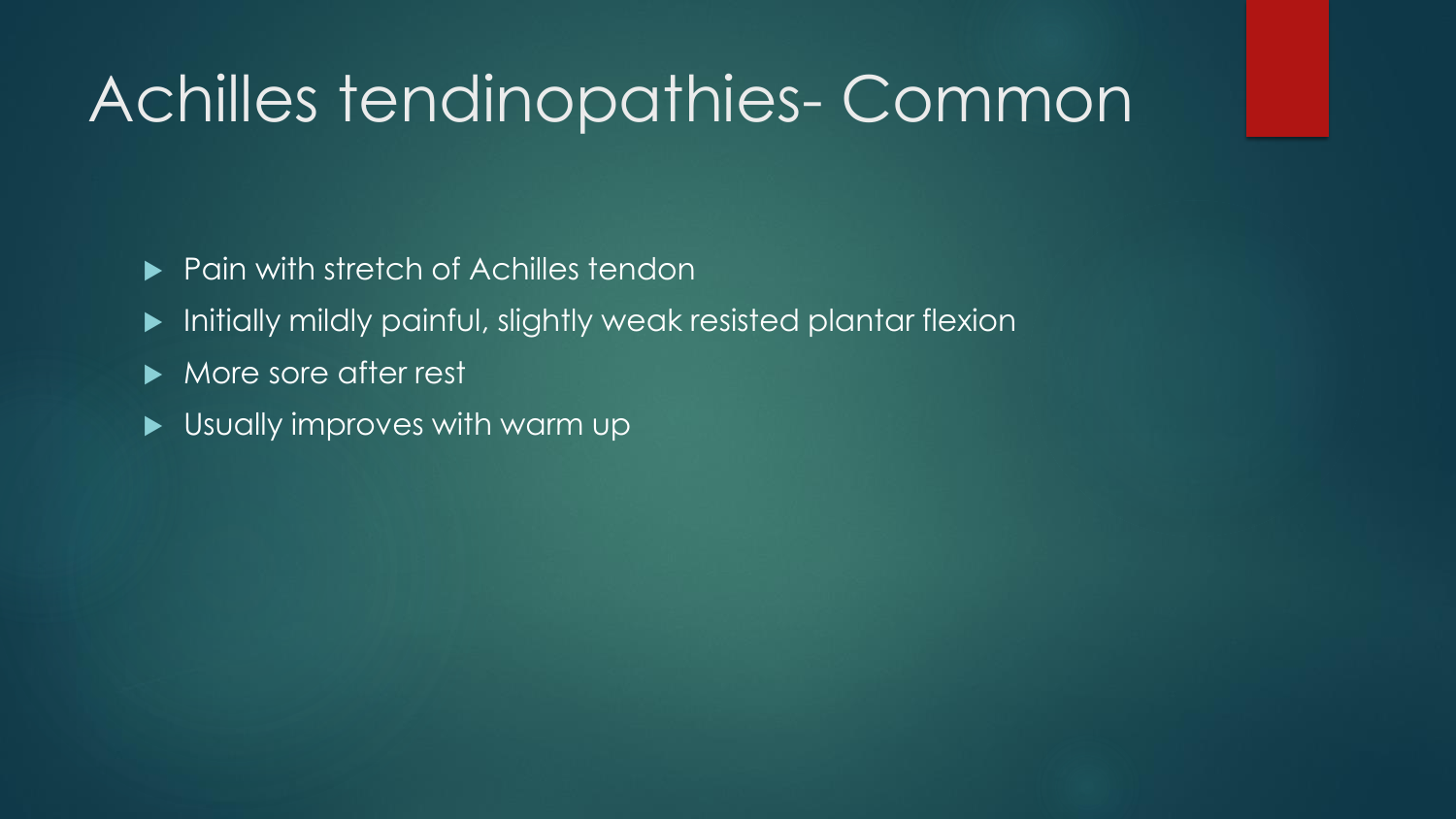## Achilles tendinopathies- Common

- ▶ Pain with stretch of Achilles tendon
- Initially mildly painful, slightly weak resisted plantar flexion
- More sore after rest
- Usually improves with warm up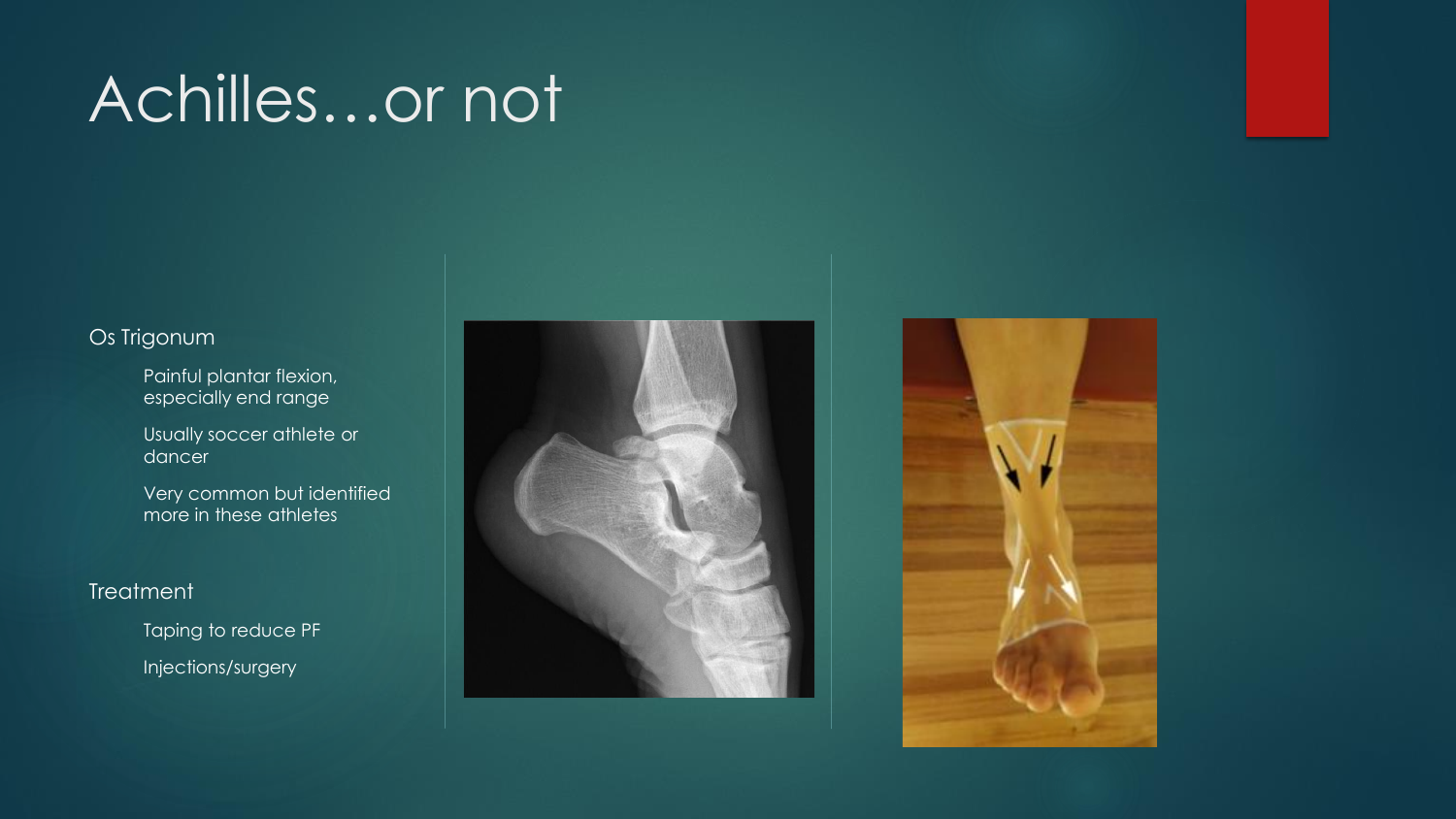# Achilles…or not

#### Os Trigonum

- Painful plantar flexion, especially end range
- Usually soccer athlete or dancer
- Very common but identified more in these athletes

#### **Treatment**

Taping to reduce PF Injections/surgery



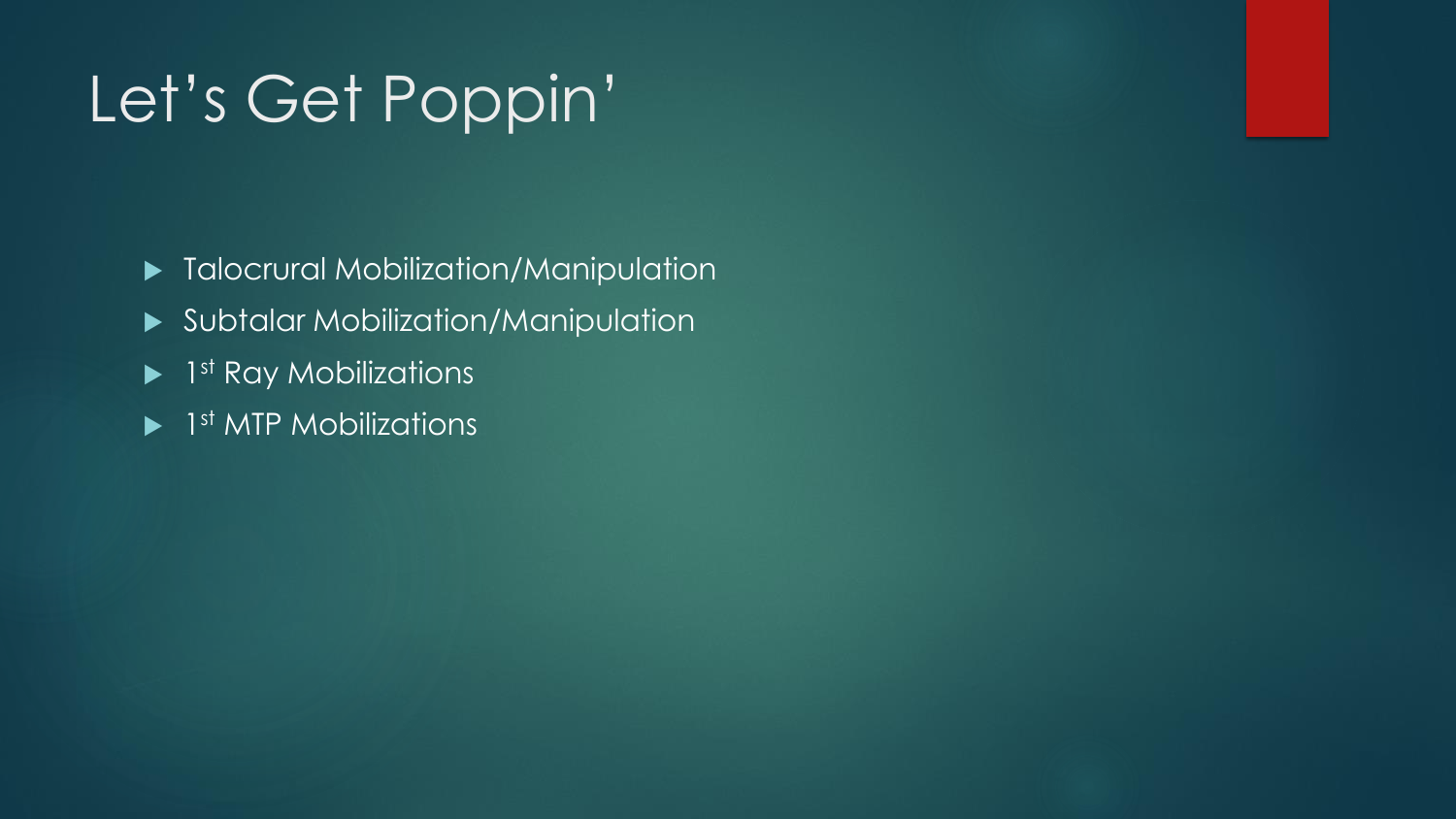# Let's Get Poppin'

- $\blacktriangleright$  Talocrural Mobilization/Manipulation
- Subtalar Mobilization/Manipulation
- $\blacktriangleright$  1st Ray Mobilizations
- ▶ 1<sup>st</sup> MTP Mobilizations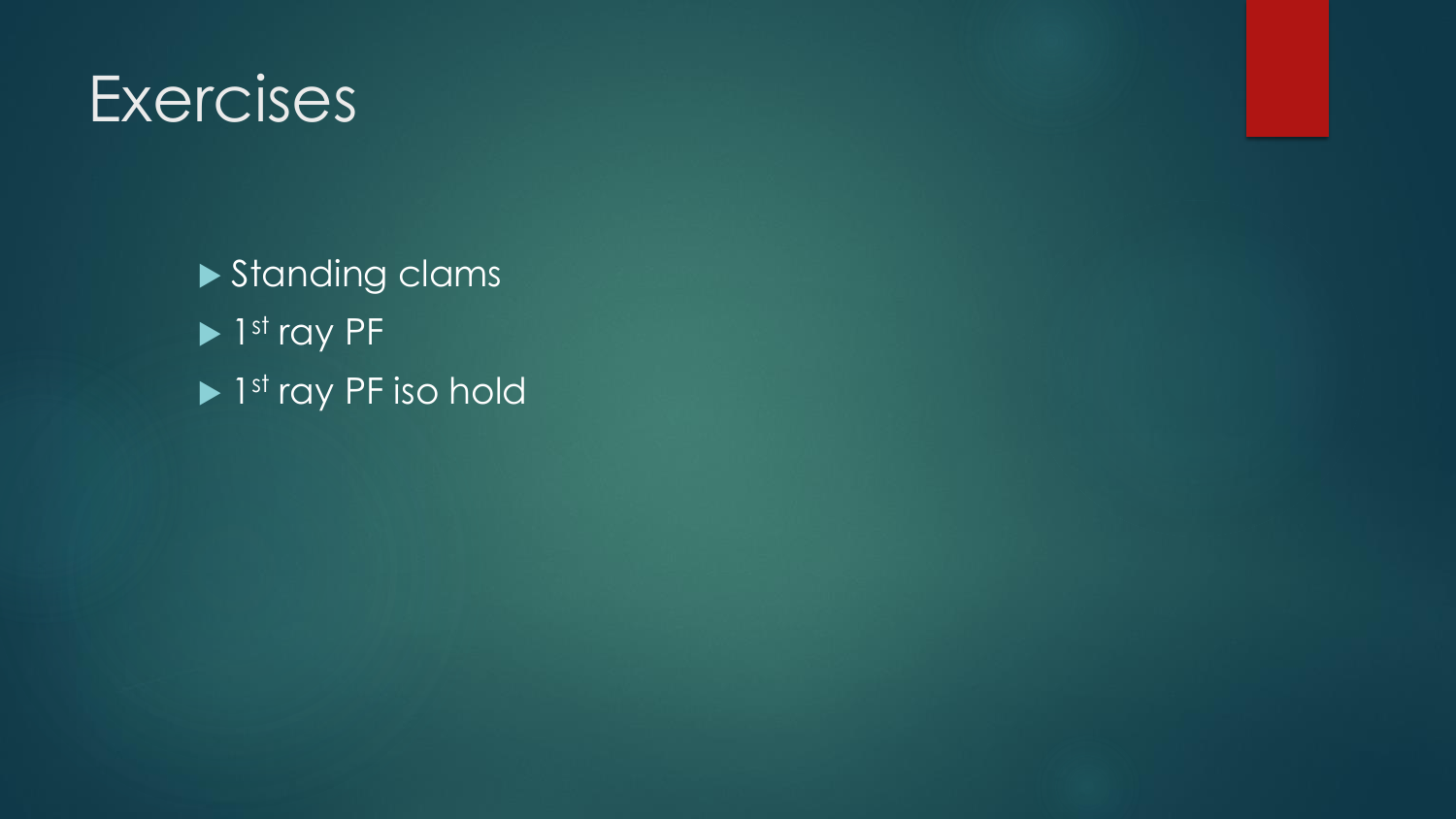### **Exercises**

Standing clams  $\blacktriangleright$  1st ray PF ▶ 1<sup>st</sup> ray PF iso hold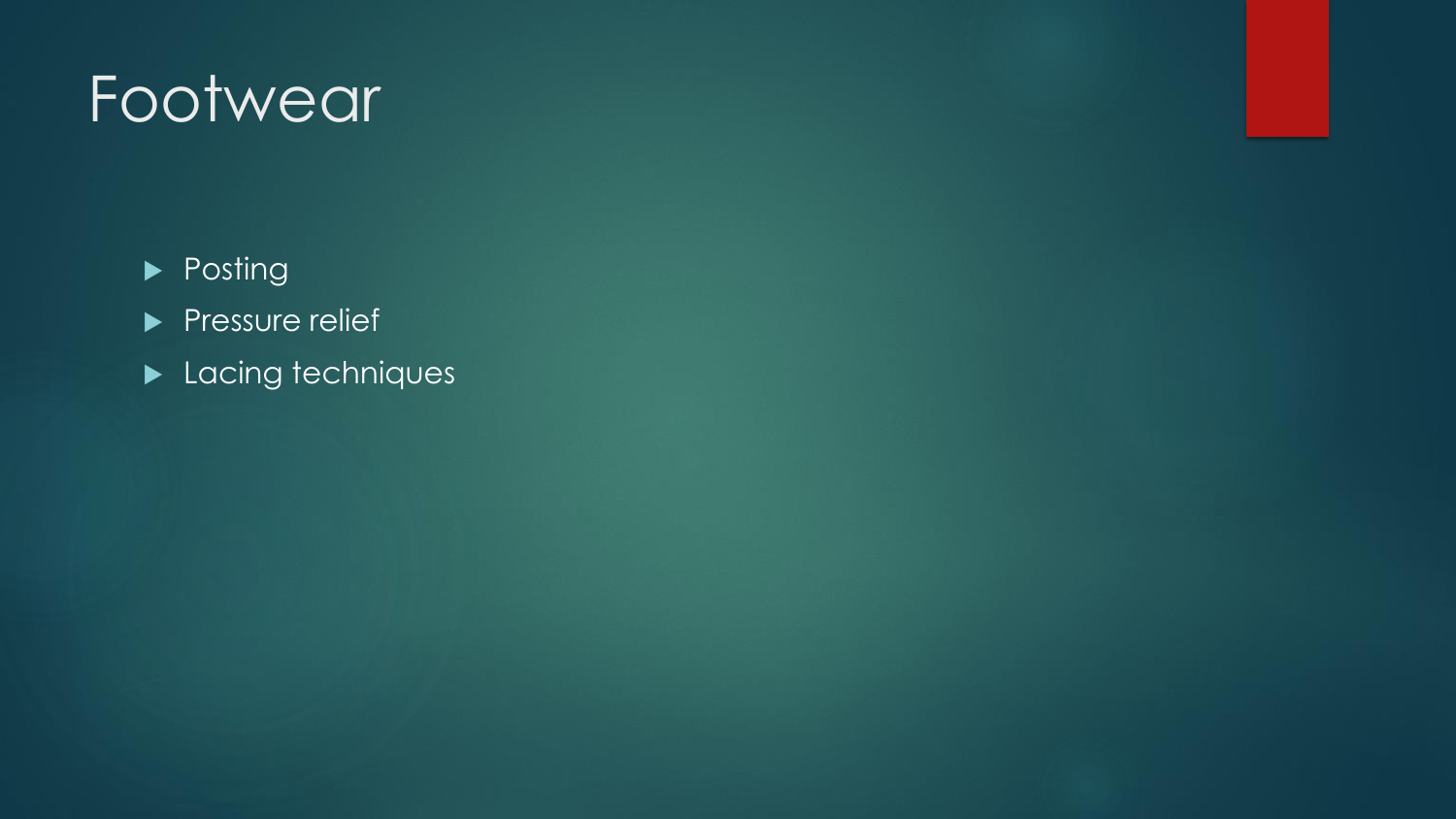# Footwear

**Posting** 

Pressure relief

Lacing techniques